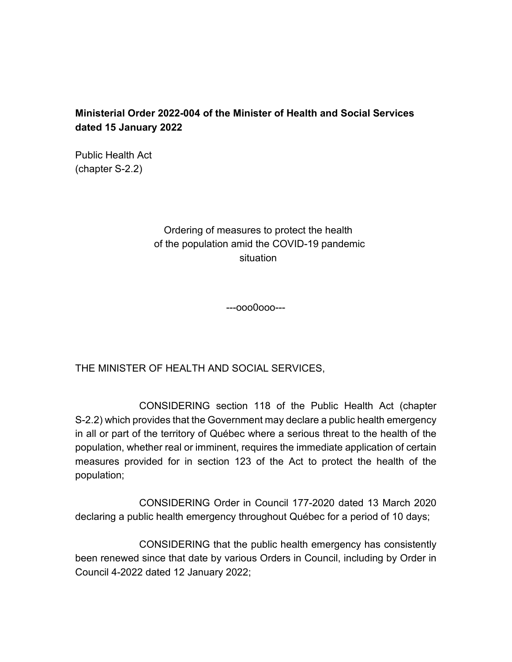## **Ministerial Order 2022-004 of the Minister of Health and Social Services dated 15 January 2022**

Public Health Act (chapter S-2.2)

> Ordering of measures to protect the health of the population amid the COVID-19 pandemic situation

> > ---ooo0ooo---

THE MINISTER OF HEALTH AND SOCIAL SERVICES,

CONSIDERING section 118 of the Public Health Act (chapter S-2.2) which provides that the Government may declare a public health emergency in all or part of the territory of Québec where a serious threat to the health of the population, whether real or imminent, requires the immediate application of certain measures provided for in section 123 of the Act to protect the health of the population;

CONSIDERING Order in Council 177-2020 dated 13 March 2020 declaring a public health emergency throughout Québec for a period of 10 days;

CONSIDERING that the public health emergency has consistently been renewed since that date by various Orders in Council, including by Order in Council 4-2022 dated 12 January 2022;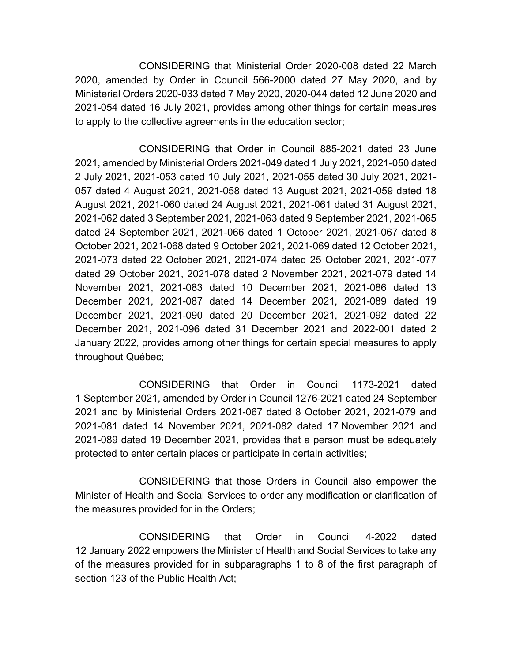CONSIDERING that Ministerial Order 2020-008 dated 22 March 2020, amended by Order in Council 566-2000 dated 27 May 2020, and by Ministerial Orders 2020-033 dated 7 May 2020, 2020-044 dated 12 June 2020 and 2021-054 dated 16 July 2021, provides among other things for certain measures to apply to the collective agreements in the education sector;

CONSIDERING that Order in Council 885-2021 dated 23 June 2021, amended by Ministerial Orders 2021-049 dated 1 July 2021, 2021-050 dated 2 July 2021, 2021-053 dated 10 July 2021, 2021-055 dated 30 July 2021, 2021- 057 dated 4 August 2021, 2021-058 dated 13 August 2021, 2021-059 dated 18 August 2021, 2021-060 dated 24 August 2021, 2021-061 dated 31 August 2021, 2021-062 dated 3 September 2021, 2021-063 dated 9 September 2021, 2021-065 dated 24 September 2021, 2021-066 dated 1 October 2021, 2021-067 dated 8 October 2021, 2021-068 dated 9 October 2021, 2021-069 dated 12 October 2021, 2021-073 dated 22 October 2021, 2021-074 dated 25 October 2021, 2021-077 dated 29 October 2021, 2021-078 dated 2 November 2021, 2021-079 dated 14 November 2021, 2021-083 dated 10 December 2021, 2021-086 dated 13 December 2021, 2021-087 dated 14 December 2021, 2021-089 dated 19 December 2021, 2021-090 dated 20 December 2021, 2021-092 dated 22 December 2021, 2021-096 dated 31 December 2021 and 2022-001 dated 2 January 2022, provides among other things for certain special measures to apply throughout Québec;

CONSIDERING that Order in Council 1173-2021 dated 1 September 2021, amended by Order in Council 1276-2021 dated 24 September 2021 and by Ministerial Orders 2021-067 dated 8 October 2021, 2021-079 and 2021-081 dated 14 November 2021, 2021-082 dated 17 November 2021 and 2021-089 dated 19 December 2021, provides that a person must be adequately protected to enter certain places or participate in certain activities;

CONSIDERING that those Orders in Council also empower the Minister of Health and Social Services to order any modification or clarification of the measures provided for in the Orders;

CONSIDERING that Order in Council 4-2022 dated 12 January 2022 empowers the Minister of Health and Social Services to take any of the measures provided for in subparagraphs 1 to 8 of the first paragraph of section 123 of the Public Health Act;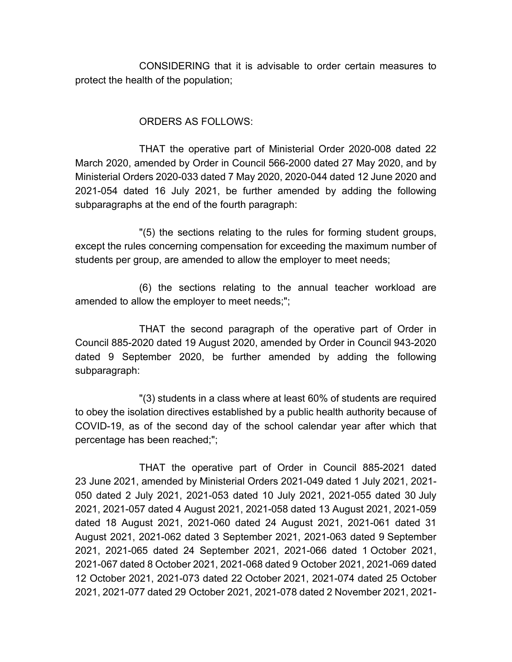CONSIDERING that it is advisable to order certain measures to protect the health of the population;

## ORDERS AS FOLLOWS:

THAT the operative part of Ministerial Order 2020-008 dated 22 March 2020, amended by Order in Council 566-2000 dated 27 May 2020, and by Ministerial Orders 2020-033 dated 7 May 2020, 2020-044 dated 12 June 2020 and 2021-054 dated 16 July 2021, be further amended by adding the following subparagraphs at the end of the fourth paragraph:

"(5) the sections relating to the rules for forming student groups, except the rules concerning compensation for exceeding the maximum number of students per group, are amended to allow the employer to meet needs;

(6) the sections relating to the annual teacher workload are amended to allow the employer to meet needs;";

THAT the second paragraph of the operative part of Order in Council 885-2020 dated 19 August 2020, amended by Order in Council 943-2020 dated 9 September 2020, be further amended by adding the following subparagraph:

"(3) students in a class where at least 60% of students are required to obey the isolation directives established by a public health authority because of COVID-19, as of the second day of the school calendar year after which that percentage has been reached;";

THAT the operative part of Order in Council 885-2021 dated 23 June 2021, amended by Ministerial Orders 2021-049 dated 1 July 2021, 2021- 050 dated 2 July 2021, 2021-053 dated 10 July 2021, 2021-055 dated 30 July 2021, 2021-057 dated 4 August 2021, 2021-058 dated 13 August 2021, 2021-059 dated 18 August 2021, 2021-060 dated 24 August 2021, 2021-061 dated 31 August 2021, 2021-062 dated 3 September 2021, 2021-063 dated 9 September 2021, 2021-065 dated 24 September 2021, 2021-066 dated 1 October 2021, 2021-067 dated 8 October 2021, 2021-068 dated 9 October 2021, 2021-069 dated 12 October 2021, 2021-073 dated 22 October 2021, 2021-074 dated 25 October 2021, 2021-077 dated 29 October 2021, 2021-078 dated 2 November 2021, 2021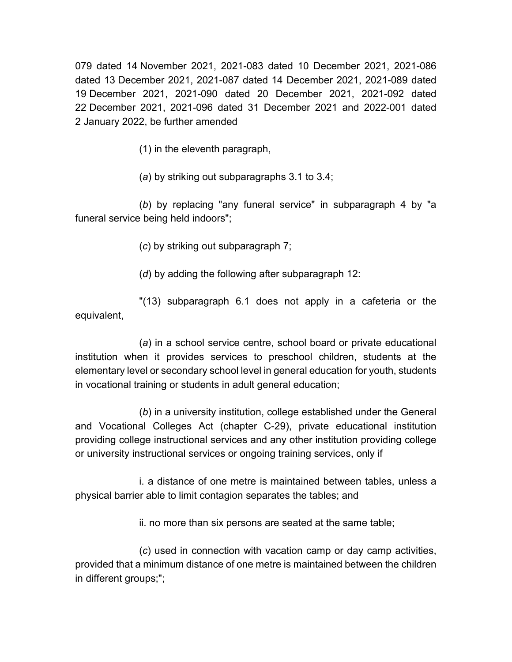079 dated 14 November 2021, 2021-083 dated 10 December 2021, 2021-086 dated 13 December 2021, 2021-087 dated 14 December 2021, 2021-089 dated 19 December 2021, 2021-090 dated 20 December 2021, 2021-092 dated 22 December 2021, 2021-096 dated 31 December 2021 and 2022-001 dated 2 January 2022, be further amended

(1) in the eleventh paragraph,

(*a*) by striking out subparagraphs 3.1 to 3.4;

(*b*) by replacing "any funeral service" in subparagraph 4 by "a funeral service being held indoors";

(*c*) by striking out subparagraph 7;

(*d*) by adding the following after subparagraph 12:

"(13) subparagraph 6.1 does not apply in a cafeteria or the equivalent,

(*a*) in a school service centre, school board or private educational institution when it provides services to preschool children, students at the elementary level or secondary school level in general education for youth, students in vocational training or students in adult general education;

(*b*) in a university institution, college established under the General and Vocational Colleges Act (chapter C-29), private educational institution providing college instructional services and any other institution providing college or university instructional services or ongoing training services, only if

i. a distance of one metre is maintained between tables, unless a physical barrier able to limit contagion separates the tables; and

ii. no more than six persons are seated at the same table;

(*c*) used in connection with vacation camp or day camp activities, provided that a minimum distance of one metre is maintained between the children in different groups;";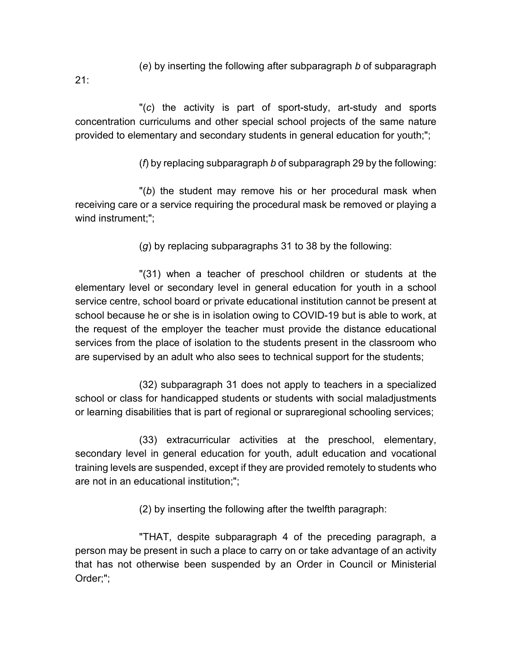(*e*) by inserting the following after subparagraph *b* of subparagraph

21:

"(*c*) the activity is part of sport-study, art-study and sports concentration curriculums and other special school projects of the same nature provided to elementary and secondary students in general education for youth;";

(*f*) by replacing subparagraph *b* of subparagraph 29 by the following:

"(*b*) the student may remove his or her procedural mask when receiving care or a service requiring the procedural mask be removed or playing a wind instrument:":

(*g*) by replacing subparagraphs 31 to 38 by the following:

"(31) when a teacher of preschool children or students at the elementary level or secondary level in general education for youth in a school service centre, school board or private educational institution cannot be present at school because he or she is in isolation owing to COVID-19 but is able to work, at the request of the employer the teacher must provide the distance educational services from the place of isolation to the students present in the classroom who are supervised by an adult who also sees to technical support for the students;

(32) subparagraph 31 does not apply to teachers in a specialized school or class for handicapped students or students with social maladjustments or learning disabilities that is part of regional or supraregional schooling services;

(33) extracurricular activities at the preschool, elementary, secondary level in general education for youth, adult education and vocational training levels are suspended, except if they are provided remotely to students who are not in an educational institution;";

(2) by inserting the following after the twelfth paragraph:

"THAT, despite subparagraph 4 of the preceding paragraph, a person may be present in such a place to carry on or take advantage of an activity that has not otherwise been suspended by an Order in Council or Ministerial Order;";